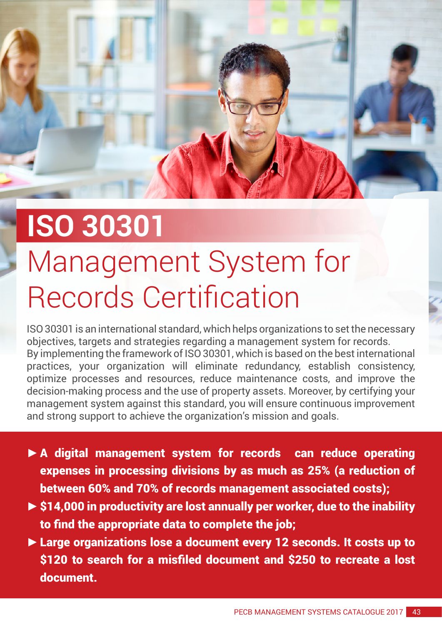## **ISO 30301**

## Management System for Records Certification

ISO 30301 is an international standard, which helps organizations to set the necessary objectives, targets and strategies regarding a management system for records. By implementing the framework of ISO 30301, which is based on the best international practices, your organization will eliminate redundancy, establish consistency, optimize processes and resources, reduce maintenance costs, and improve the decision-making process and the use of property assets. Moreover, by certifying your management system against this standard, you will ensure continuous improvement and strong support to achieve the organization's mission and goals.

- **►**A digital management system for records can reduce operating expenses in processing divisions by as much as 25% (a reduction of between 60% and 70% of records management associated costs);
- **►**\$14,000 in productivity are lost annually per worker, due to the inability to find the appropriate data to complete the job;
- **►**Large organizations lose a document every 12 seconds. It costs up to \$120 to search for a misfiled document and \$250 to recreate a lost document.